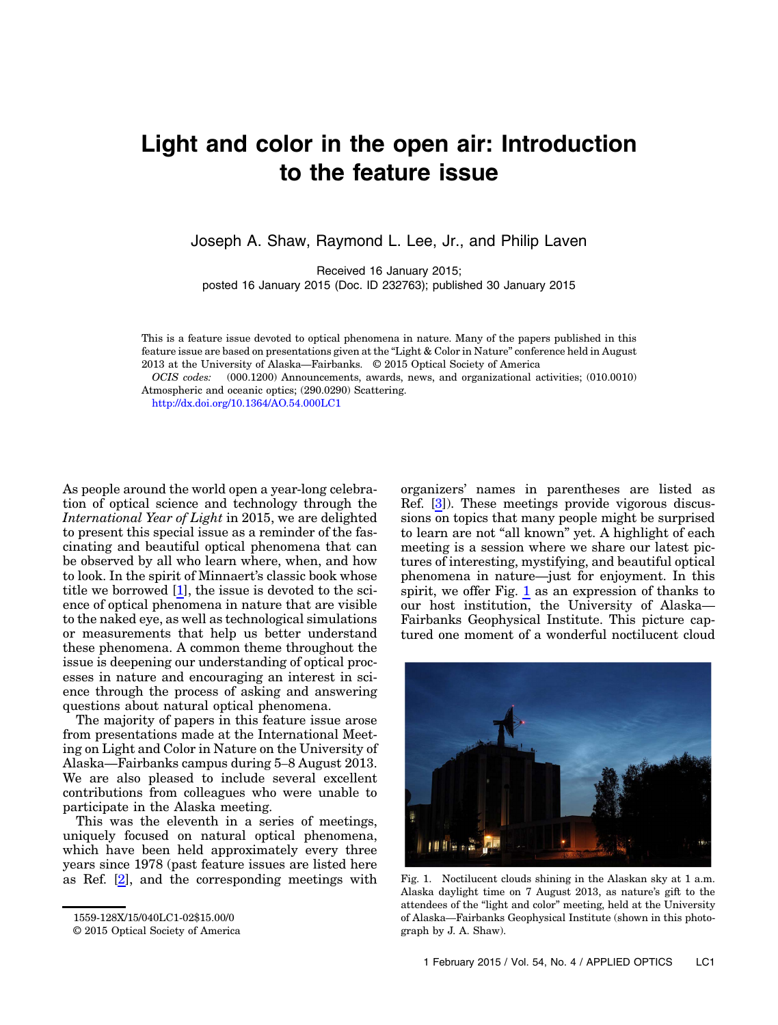## Light and color in the open air: Introduction to the feature issue

Joseph A. Shaw, Raymond L. Lee, Jr., and Philip Laven

Received 16 January 2015;

posted 16 January 2015 (Doc. ID 232763); published 30 January 2015

This is a feature issue devoted to optical phenomena in nature. Many of the papers published in this feature issue are based on presentations given at the "Light & Color in Nature" conference held in August 2013 at the University of Alaska—Fairbanks. © 2015 Optical Society of America

OCIS codes: (000.1200) Announcements, awards, news, and organizational activities; (010.0010) Atmospheric and oceanic optics; (290.0290) Scattering.

<http://dx.doi.org/10.1364/AO.54.000LC1>

As people around the world open a year-long celebration of optical science and technology through the International Year of Light in 2015, we are delighted to present this special issue as a reminder of the fascinating and beautiful optical phenomena that can be observed by all who learn where, when, and how to look. In the spirit of Minnaert's classic book whose title we borrowed [[1](#page-1-0)], the issue is devoted to the science of optical phenomena in nature that are visible to the naked eye, as well as technological simulations or measurements that help us better understand these phenomena. A common theme throughout the issue is deepening our understanding of optical processes in nature and encouraging an interest in science through the process of asking and answering questions about natural optical phenomena.

The majority of papers in this feature issue arose from presentations made at the International Meeting on Light and Color in Nature on the University of Alaska—Fairbanks campus during 5–8 August 2013. We are also pleased to include several excellent contributions from colleagues who were unable to participate in the Alaska meeting.

This was the eleventh in a series of meetings, uniquely focused on natural optical phenomena, which have been held approximately every three years since 1978 (past feature issues are listed here as Ref. [\[2\]](#page-1-1), and the corresponding meetings with

organizers' names in parentheses are listed as Ref. [\[3\]](#page-1-2)). These meetings provide vigorous discussions on topics that many people might be surprised to learn are not "all known" yet. A highlight of each meeting is a session where we share our latest pictures of interesting, mystifying, and beautiful optical phenomena in nature—just for enjoyment. In this spirit, we offer Fig. [1](#page-0-0) as an expression of thanks to our host institution, the University of Alaska— Fairbanks Geophysical Institute. This picture captured one moment of a wonderful noctilucent cloud

<span id="page-0-0"></span>

Fig. 1. Noctilucent clouds shining in the Alaskan sky at 1 a.m. Alaska daylight time on 7 August 2013, as nature's gift to the attendees of the "light and color" meeting, held at the University of Alaska—Fairbanks Geophysical Institute (shown in this photograph by J. A. Shaw).

<sup>1559-128</sup>X/15/040LC1-02\$15.00/0

<sup>© 2015</sup> Optical Society of America